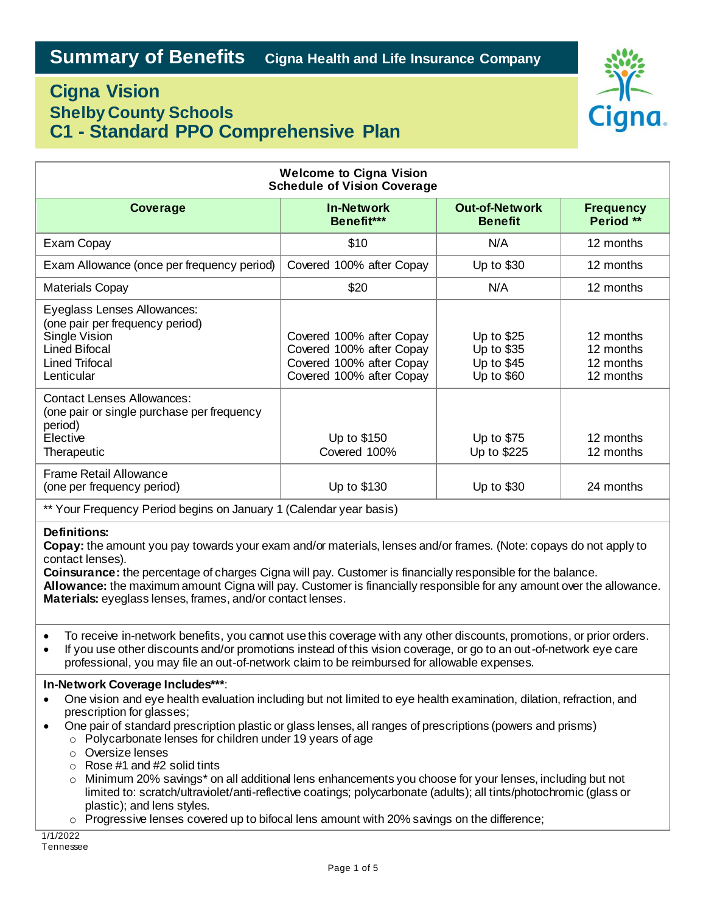# Cigna.

# **Cigna Vision Shelby County Schools C1 - Standard PPO Comprehensive Plan**

| <b>Welcome to Cigna Vision</b><br><b>Schedule of Vision Coverage</b>                                                                                                                                                                                                                                                                                                                                                                                                                                                                                                                                                                                                                                                                                                                                                                   |                                                                                                              |                                                      |                                                  |
|----------------------------------------------------------------------------------------------------------------------------------------------------------------------------------------------------------------------------------------------------------------------------------------------------------------------------------------------------------------------------------------------------------------------------------------------------------------------------------------------------------------------------------------------------------------------------------------------------------------------------------------------------------------------------------------------------------------------------------------------------------------------------------------------------------------------------------------|--------------------------------------------------------------------------------------------------------------|------------------------------------------------------|--------------------------------------------------|
| <b>Coverage</b>                                                                                                                                                                                                                                                                                                                                                                                                                                                                                                                                                                                                                                                                                                                                                                                                                        | <b>In-Network</b><br>Benefit***                                                                              | <b>Out-of-Network</b><br><b>Benefit</b>              | <b>Frequency</b><br>Period **                    |
| Exam Copay                                                                                                                                                                                                                                                                                                                                                                                                                                                                                                                                                                                                                                                                                                                                                                                                                             | \$10                                                                                                         | N/A                                                  | 12 months                                        |
| Exam Allowance (once per frequency period)                                                                                                                                                                                                                                                                                                                                                                                                                                                                                                                                                                                                                                                                                                                                                                                             | Covered 100% after Copay                                                                                     | Up to \$30                                           | 12 months                                        |
| <b>Materials Copay</b>                                                                                                                                                                                                                                                                                                                                                                                                                                                                                                                                                                                                                                                                                                                                                                                                                 | \$20                                                                                                         | N/A                                                  | 12 months                                        |
| Eyeglass Lenses Allowances:<br>(one pair per frequency period)<br>Single Vision<br><b>Lined Bifocal</b><br><b>Lined Trifocal</b><br>Lenticular                                                                                                                                                                                                                                                                                                                                                                                                                                                                                                                                                                                                                                                                                         | Covered 100% after Copay<br>Covered 100% after Copay<br>Covered 100% after Copay<br>Covered 100% after Copay | Up to \$25<br>Up to \$35<br>Up to \$45<br>Up to \$60 | 12 months<br>12 months<br>12 months<br>12 months |
| <b>Contact Lenses Allowances:</b><br>(one pair or single purchase per frequency<br>period)<br>Elective<br>Therapeutic                                                                                                                                                                                                                                                                                                                                                                                                                                                                                                                                                                                                                                                                                                                  | Up to \$150<br>Covered 100%                                                                                  | Up to \$75<br>Up to \$225                            | 12 months<br>12 months                           |
| <b>Frame Retail Allowance</b><br>(one per frequency period)                                                                                                                                                                                                                                                                                                                                                                                                                                                                                                                                                                                                                                                                                                                                                                            | Up to \$130                                                                                                  | Up to \$30                                           | 24 months                                        |
| ** Your Frequency Period begins on January 1 (Calendar year basis)                                                                                                                                                                                                                                                                                                                                                                                                                                                                                                                                                                                                                                                                                                                                                                     |                                                                                                              |                                                      |                                                  |
| <b>Definitions:</b><br>Copay: the amount you pay towards your exam and/or materials, lenses and/or frames. (Note: copays do not apply to<br>contact lenses).<br>Coinsurance: the percentage of charges Cigna will pay. Customer is financially responsible for the balance.<br>Allowance: the maximum amount Cigna will pay. Customer is financially responsible for any amount over the allowance.<br>Materials: eyeglass lenses, frames, and/or contact lenses.<br>To receive in-network benefits, you cannot use this coverage with any other discounts, promotions, or prior orders.<br>$\bullet$<br>If you use other discounts and/or promotions instead of this vision coverage, or go to an out-of-network eye care<br>$\bullet$<br>professional, you may file an out-of-network claim to be reimbursed for allowable expenses. |                                                                                                              |                                                      |                                                  |
| In-Network Coverage Includes***:<br>One vision and eye health evaluation including but not limited to eye health examination, dilation, refraction, and<br>prescription for glasses;<br>One pair of standard prescription plastic or glass lenses, all ranges of prescriptions (powers and prisms)<br>$\bullet$<br>o Polycarbonate lenses for children under 19 years of age<br>○ Oversize lenses<br>Rose #1 and #2 solid tints<br>$\circ$<br>Minimum 20% savings* on all additional lens enhancements you choose for your lenses, including but not<br>$\circ$<br>limited to: scratch/ultraviolet/anti-reflective coatings; polycarbonate (adults); all tints/photochromic (glass or                                                                                                                                                  |                                                                                                              |                                                      |                                                  |

plastic); and lens styles. o Progressive lenses covered up to bifocal lens amount with 20% savings on the difference;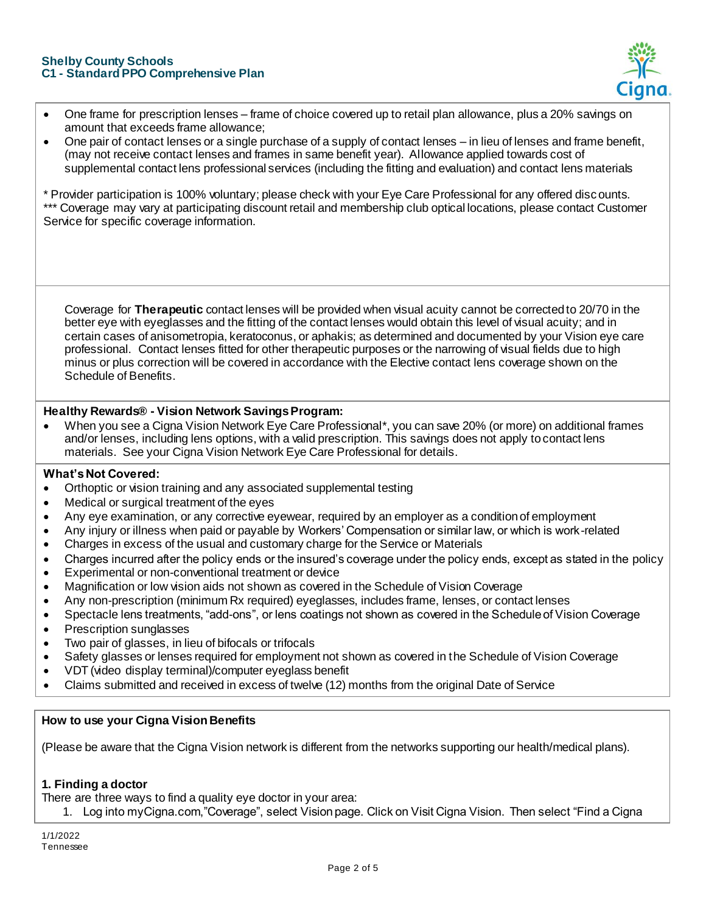#### **Shelby County Schools C1 - Standard PPO Comprehensive Plan**



- One frame for prescription lenses frame of choice covered up to retail plan allowance, plus a 20% savings on amount that exceeds frame allowance;
- One pair of contact lenses or a single purchase of a supply of contact lenses in lieu of lenses and frame benefit, (may not receive contact lenses and frames in same benefit year). Allowance applied towards cost of supplemental contact lens professional services (including the fitting and evaluation) and contact lens materials

\* Provider participation is 100% voluntary; please check with your Eye Care Professional for any offered discounts. \*\*\* Coverage may vary at participating discount retail and membership club optical locations, please contact Customer Service for specific coverage information.

Coverage for **Therapeutic** contact lenses will be provided when visual acuity cannot be corrected to 20/70 in the better eye with eyeglasses and the fitting of the contact lenses would obtain this level of visual acuity; and in certain cases of anisometropia, keratoconus, or aphakis; as determined and documented by your Vision eye care professional. Contact lenses fitted for other therapeutic purposes or the narrowing of visual fields due to high minus or plus correction will be covered in accordance with the Elective contact lens coverage shown on the Schedule of Benefits.

## **Healthy Rewards® - Vision Network Savings Program:**

 When you see a Cigna Vision Network Eye Care Professional\*, you can save 20% (or more) on additional frames and/or lenses, including lens options, with a valid prescription. This savings does not apply to contact lens materials. See your Cigna Vision Network Eye Care Professional for details.

#### **What's Not Covered:**

- Orthoptic or vision training and any associated supplemental testing
- Medical or surgical treatment of the eyes
- Any eye examination, or any corrective eyewear, required by an employer as a condition of employment
- Any injury or illness when paid or payable by Workers' Compensation or similar law, or which is work-related
- Charges in excess of the usual and customary charge for the Service or Materials
- Charges incurred after the policy ends or the insured's coverage under the policy ends, except as stated in the policy
- Experimental or non-conventional treatment or device
- Magnification or low vision aids not shown as covered in the Schedule of Vision Coverage
- Any non-prescription (minimum Rx required) eyeglasses, includes frame, lenses, or contact lenses
- Spectacle lens treatments, "add-ons", or lens coatings not shown as covered in the Schedule of Vision Coverage
- Prescription sunglasses
- Two pair of glasses, in lieu of bifocals or trifocals
- Safety glasses or lenses required for employment not shown as covered in the Schedule of Vision Coverage
- VDT (video display terminal)/computer eyeglass benefit
- Claims submitted and received in excess of twelve (12) months from the original Date of Service

## **How to use your Cigna Vision Benefits**

(Please be aware that the Cigna Vision network is different from the networks supporting our health/medical plans).

#### **1. Finding a doctor**

There are three ways to find a quality eye doctor in your area:

1. Log into myCigna.com,"Coverage", select Vision page. Click on Visit Cigna Vision. Then select "Find a Cigna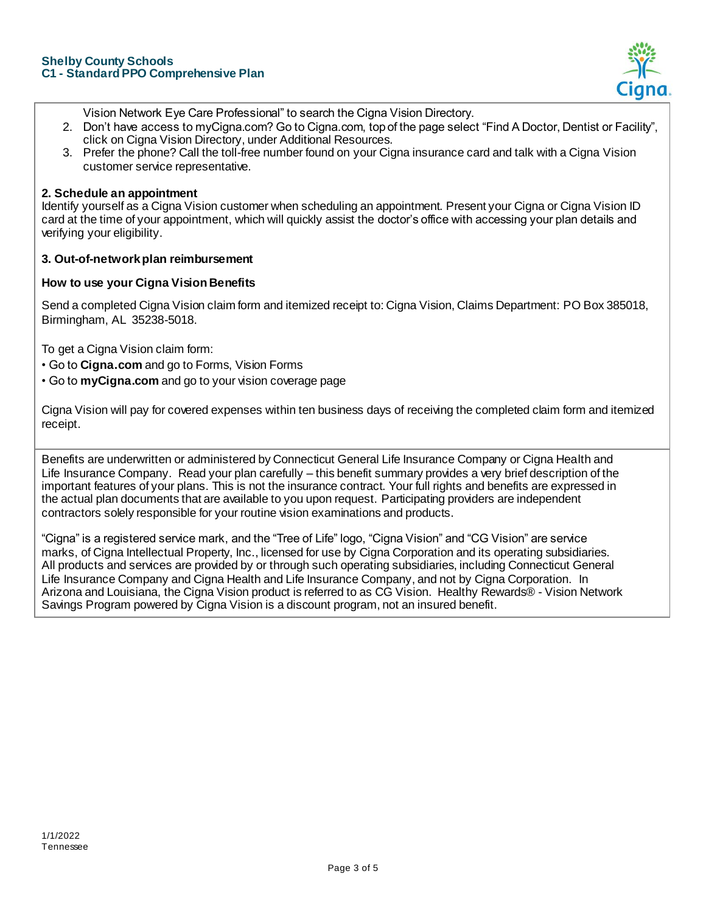

- Vision Network Eye Care Professional" to search the Cigna Vision Directory.
- 2. Don't have access to myCigna.com? Go to Cigna.com, top of the page select "Find A Doctor, Dentist or Facility", click on Cigna Vision Directory, under Additional Resources.
- 3. Prefer the phone? Call the toll-free number found on your Cigna insurance card and talk with a Cigna Vision customer service representative.

#### **2. Schedule an appointment**

Identify yourself as a Cigna Vision customer when scheduling an appointment. Present your Cigna or Cigna Vision ID card at the time of your appointment, which will quickly assist the doctor's office with accessing your plan details and verifying your eligibility.

#### **3. Out-of-network plan reimbursement**

## **How to use your Cigna Vision Benefits**

Send a completed Cigna Vision claim form and itemized receipt to: Cigna Vision, Claims Department: PO Box 385018, Birmingham, AL 35238-5018.

To get a Cigna Vision claim form:

- Go to **Cigna.com** and go to Forms, Vision Forms
- Go to **myCigna.com** and go to your vision coverage page

Cigna Vision will pay for covered expenses within ten business days of receiving the completed claim form and itemized receipt.

Benefits are underwritten or administered by Connecticut General Life Insurance Company or Cigna Health and Life Insurance Company. Read your plan carefully – this benefit summary provides a very brief description of the important features of your plans. This is not the insurance contract. Your full rights and benefits are expressed in the actual plan documents that are available to you upon request. Participating providers are independent contractors solely responsible for your routine vision examinations and products.

"Cigna" is a registered service mark, and the "Tree of Life" logo, "Cigna Vision" and "CG Vision" are service marks, of Cigna Intellectual Property, Inc., licensed for use by Cigna Corporation and its operating subsidiaries. All products and services are provided by or through such operating subsidiaries, including Connecticut General Life Insurance Company and Cigna Health and Life Insurance Company, and not by Cigna Corporation. In Arizona and Louisiana, the Cigna Vision product is referred to as CG Vision. Healthy Rewards® - Vision Network Savings Program powered by Cigna Vision is a discount program, not an insured benefit.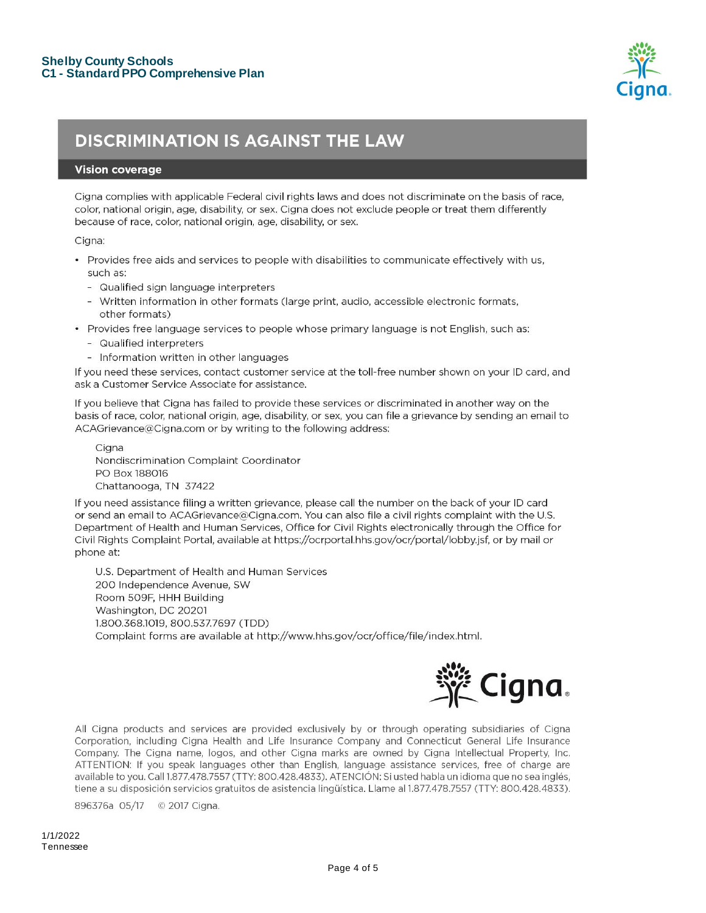

# **DISCRIMINATION IS AGAINST THE LAW**

#### **Vision coverage**

Cigna complies with applicable Federal civil rights laws and does not discriminate on the basis of race, color, national origin, age, disability, or sex. Cigna does not exclude people or treat them differently because of race, color, national origin, age, disability, or sex.

Cigna:

- Provides free aids and services to people with disabilities to communicate effectively with us, such as:
	- Qualified sign language interpreters
	- Written information in other formats (large print, audio, accessible electronic formats, other formats)
- · Provides free language services to people whose primary language is not English, such as:
	- Qualified interpreters
	- Information written in other languages

If you need these services, contact customer service at the toll-free number shown on your ID card, and ask a Customer Service Associate for assistance.

If you believe that Cigna has failed to provide these services or discriminated in another way on the basis of race, color, national origin, age, disability, or sex, you can file a grievance by sending an email to ACAGrievance@Cigna.com or by writing to the following address:

Ciana Nondiscrimination Complaint Coordinator PO Box 188016 Chattanooga, TN 37422

If you need assistance filing a written grievance, please call the number on the back of your ID card or send an email to ACAGrievance@Cigna.com. You can also file a civil rights complaint with the U.S. Department of Health and Human Services, Office for Civil Rights electronically through the Office for Civil Rights Complaint Portal, available at https://ocrportal.hhs.gov/ocr/portal/lobby.jsf, or by mail or phone at:

U.S. Department of Health and Human Services 200 Independence Avenue, SW Room 509F, HHH Building Washington, DC 20201 1.800.368.1019, 800.537.7697 (TDD) Complaint forms are available at http://www.hhs.gov/ocr/office/file/index.html.



All Cigna products and services are provided exclusively by or through operating subsidiaries of Cigna Corporation, including Cigna Health and Life Insurance Company and Connecticut General Life Insurance Company. The Cigna name, logos, and other Cigna marks are owned by Cigna Intellectual Property, Inc. ATTENTION: If you speak languages other than English, language assistance services, free of charge are available to you. Call 1.877.478.7557 (TTY: 800.428.4833). ATENCIÓN: Si usted habla un idioma que no sea inglés, tiene a su disposición servicios gratuitos de asistencia lingüística. Llame al 1.877.478.7557 (TTY: 800.428.4833).

896376a 05/17 © 2017 Cigna.